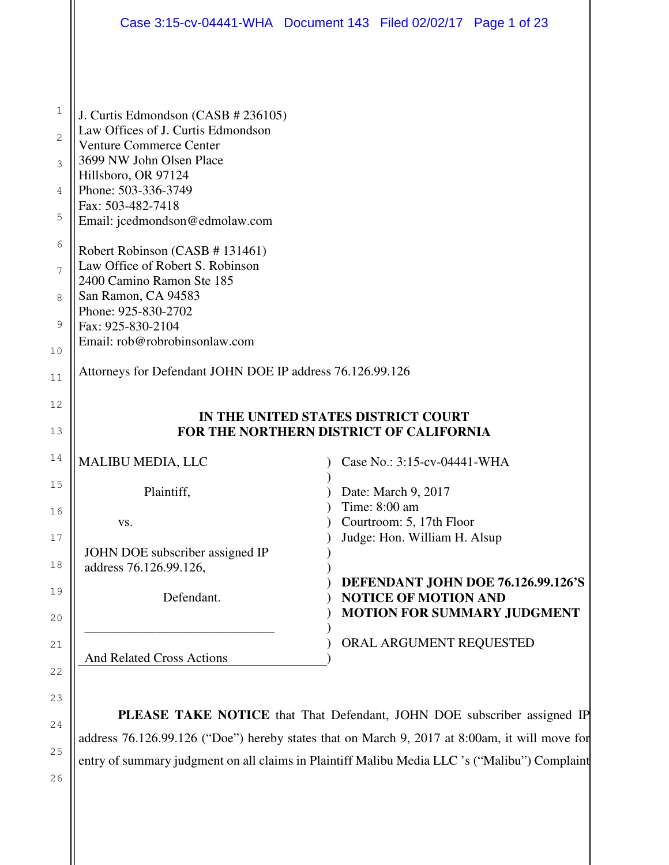| Case 3:15-cv-04441-WHA  Document 143  Filed 02/02/17  Page 1 of 23 |                                                          |                                                                                 |
|--------------------------------------------------------------------|----------------------------------------------------------|---------------------------------------------------------------------------------|
|                                                                    |                                                          |                                                                                 |
| J. Curtis Edmondson (CASB # 236105)                                |                                                          |                                                                                 |
| Law Offices of J. Curtis Edmondson                                 |                                                          |                                                                                 |
| <b>Venture Commerce Center</b><br>3699 NW John Olsen Place         |                                                          |                                                                                 |
| Hillsboro, OR 97124                                                |                                                          |                                                                                 |
| Phone: 503-336-3749<br>Fax: 503-482-7418                           |                                                          |                                                                                 |
| Email: jcedmondson@edmolaw.com                                     |                                                          |                                                                                 |
| Robert Robinson (CASB # 131461)                                    |                                                          |                                                                                 |
| Law Office of Robert S. Robinson                                   |                                                          |                                                                                 |
| 2400 Camino Ramon Ste 185<br>San Ramon, CA 94583                   |                                                          |                                                                                 |
| Phone: 925-830-2702                                                |                                                          |                                                                                 |
| Fax: 925-830-2104<br>Email: rob@robrobinsonlaw.com                 |                                                          |                                                                                 |
|                                                                    |                                                          |                                                                                 |
| Attorneys for Defendant JOHN DOE IP address 76.126.99.126          |                                                          |                                                                                 |
| IN THE UNITED STATES DISTRICT COURT                                |                                                          |                                                                                 |
| FOR THE NORTHERN DISTRICT OF CALIFORNIA                            |                                                          |                                                                                 |
| <b>MALIBU MEDIA, LLC</b>                                           | Case No.: 3:15-cv-04441-WHA                              |                                                                                 |
| Plaintiff,                                                         | Date: March 9, 2017                                      |                                                                                 |
|                                                                    | Time: 8:00 am                                            |                                                                                 |
| VS.                                                                | Courtroom: 5, 17th Floor<br>Judge: Hon. William H. Alsup |                                                                                 |
| JOHN DOE subscriber assigned IP                                    |                                                          |                                                                                 |
| address 76.126.99.126,                                             |                                                          |                                                                                 |
| Defendant.                                                         | <b>NOTICE OF MOTION AND</b>                              | <b>DEFENDANT JOHN DOE 76.126.99.126'S</b><br><b>MOTION FOR SUMMARY JUDGMENT</b> |
|                                                                    |                                                          |                                                                                 |
| <b>And Related Cross Actions</b>                                   | ORAL ARGUMENT REQUESTED                                  |                                                                                 |

**PLEASE TAKE NOTICE** that That Defendant, JOHN DOE subscriber assigned IP address 76.126.99.126 ("Doe") hereby states that on March 9, 2017 at 8:00am, it will move for entry of summary judgment on all claims in Plaintiff Malibu Media LLC 's ("Malibu") Complaint

26

24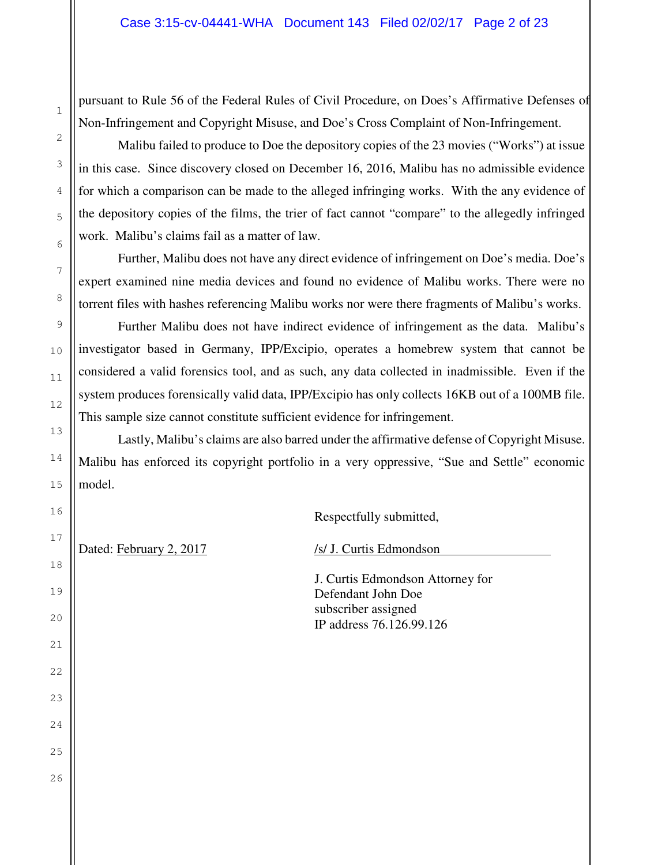pursuant to Rule 56 of the Federal Rules of Civil Procedure, on Does's Affirmative Defenses of Non-Infringement and Copyright Misuse, and Doe's Cross Complaint of Non-Infringement.

Malibu failed to produce to Doe the depository copies of the 23 movies ("Works") at issue in this case. Since discovery closed on December 16, 2016, Malibu has no admissible evidence for which a comparison can be made to the alleged infringing works. With the any evidence of the depository copies of the films, the trier of fact cannot "compare" to the allegedly infringed work. Malibu's claims fail as a matter of law.

Further, Malibu does not have any direct evidence of infringement on Doe's media. Doe's expert examined nine media devices and found no evidence of Malibu works. There were no torrent files with hashes referencing Malibu works nor were there fragments of Malibu's works.

Further Malibu does not have indirect evidence of infringement as the data. Malibu's investigator based in Germany, IPP/Excipio, operates a homebrew system that cannot be considered a valid forensics tool, and as such, any data collected in inadmissible. Even if the system produces forensically valid data, IPP/Excipio has only collects 16KB out of a 100MB file. This sample size cannot constitute sufficient evidence for infringement.

Lastly, Malibu's claims are also barred under the affirmative defense of Copyright Misuse. Malibu has enforced its copyright portfolio in a very oppressive, "Sue and Settle" economic model.

Respectfully submitted,

Dated: February 2, 2017 /s/ J. Curtis Edmondson

 J. Curtis Edmondson Attorney for Defendant John Doe subscriber assigned IP address 76.126.99.126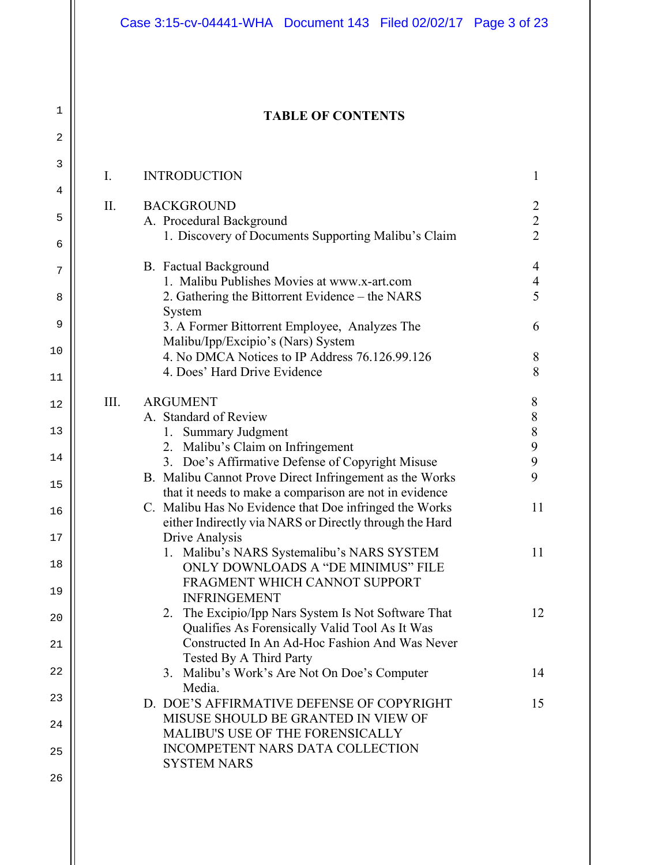#### **TABLE OF CONTENTS**

1

| 3    | Ι.   | <b>INTRODUCTION</b>                                                                                               | 1                                |
|------|------|-------------------------------------------------------------------------------------------------------------------|----------------------------------|
| 4    |      |                                                                                                                   |                                  |
| 5    | II.  | <b>BACKGROUND</b><br>A. Procedural Background                                                                     | $\overline{2}$<br>$\overline{2}$ |
| 6    |      | 1. Discovery of Documents Supporting Malibu's Claim                                                               | $\overline{2}$                   |
| 7    |      | <b>B.</b> Factual Background<br>1. Malibu Publishes Movies at www.x-art.com                                       | 4<br>$\overline{4}$              |
| 8    |      | 2. Gathering the Bittorrent Evidence – the NARS<br>System                                                         | 5                                |
| 9    |      | 3. A Former Bittorrent Employee, Analyzes The                                                                     | 6                                |
| $10$ |      | Malibu/Ipp/Excipio's (Nars) System<br>4. No DMCA Notices to IP Address 76.126.99.126                              | 8                                |
| 11   |      | 4. Does' Hard Drive Evidence                                                                                      | 8                                |
| 12   | III. | <b>ARGUMENT</b>                                                                                                   | 8                                |
| 13   |      | A. Standard of Review<br>1. Summary Judgment                                                                      | $8\,$<br>$\,8$                   |
|      |      | 2. Malibu's Claim on Infringement                                                                                 | $\mathbf{9}$                     |
| 14   |      | 3. Doe's Affirmative Defense of Copyright Misuse                                                                  | 9                                |
|      |      | B. Malibu Cannot Prove Direct Infringement as the Works                                                           | 9                                |
| 15   |      | that it needs to make a comparison are not in evidence                                                            |                                  |
| 16   |      | C. Malibu Has No Evidence that Doe infringed the Works<br>either Indirectly via NARS or Directly through the Hard | 11                               |
| 17   |      | Drive Analysis                                                                                                    |                                  |
| 18   |      | 1. Malibu's NARS Systemalibu's NARS SYSTEM<br>ONLY DOWNLOADS A "DE MINIMUS" FILE                                  | 11                               |
| 19   |      | FRAGMENT WHICH CANNOT SUPPORT<br><b>INFRINGEMENT</b>                                                              |                                  |
| 20   |      | The Excipio/Ipp Nars System Is Not Software That<br>2.<br>Qualifies As Forensically Valid Tool As It Was          | 12                               |
| 21   |      | Constructed In An Ad-Hoc Fashion And Was Never<br>Tested By A Third Party                                         |                                  |
| 22   |      | 3. Malibu's Work's Are Not On Doe's Computer<br>Media.                                                            | 14                               |
| 23   |      | D. DOE'S AFFIRMATIVE DEFENSE OF COPYRIGHT                                                                         | 15                               |
| 24   |      | MISUSE SHOULD BE GRANTED IN VIEW OF<br>MALIBU'S USE OF THE FORENSICALLY                                           |                                  |
| 25   |      | INCOMPETENT NARS DATA COLLECTION<br><b>SYSTEM NARS</b>                                                            |                                  |
| 26   |      |                                                                                                                   |                                  |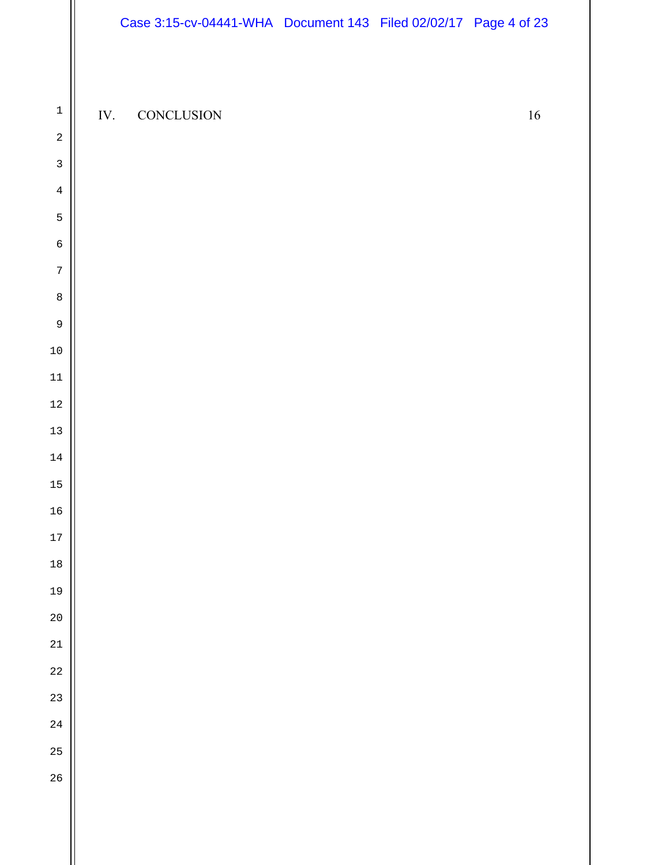IV. CONCLUSION 16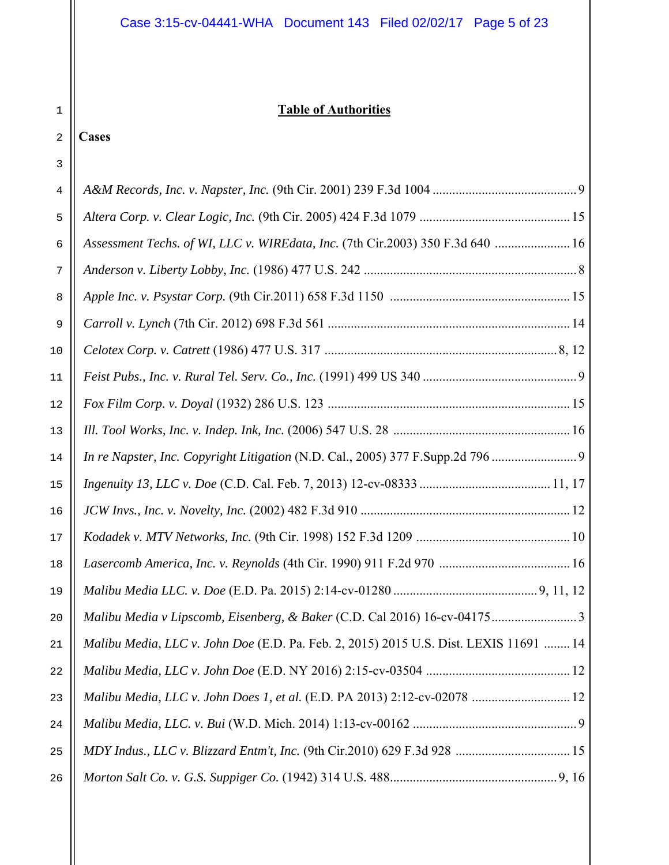#### **Table of Authorities**

## **Cases**

| 4  |                                                                                       |
|----|---------------------------------------------------------------------------------------|
| 5  |                                                                                       |
| 6  | Assessment Techs. of WI, LLC v. WIREdata, Inc. (7th Cir.2003) 350 F.3d 640  16        |
| 7  |                                                                                       |
| 8  |                                                                                       |
| 9  |                                                                                       |
| 10 |                                                                                       |
| 11 |                                                                                       |
| 12 |                                                                                       |
| 13 |                                                                                       |
| 14 | In re Napster, Inc. Copyright Litigation (N.D. Cal., 2005) 377 F.Supp.2d 796 9        |
| 15 |                                                                                       |
| 16 |                                                                                       |
| 17 |                                                                                       |
| 18 |                                                                                       |
| 19 |                                                                                       |
| 20 |                                                                                       |
| 21 | Malibu Media, LLC v. John Doe (E.D. Pa. Feb. 2, 2015) 2015 U.S. Dist. LEXIS 11691  14 |
| 22 |                                                                                       |
| 23 | Malibu Media, LLC v. John Does 1, et al. (E.D. PA 2013) 2:12-cv-02078  12             |
| 24 |                                                                                       |
| 25 |                                                                                       |
| 26 |                                                                                       |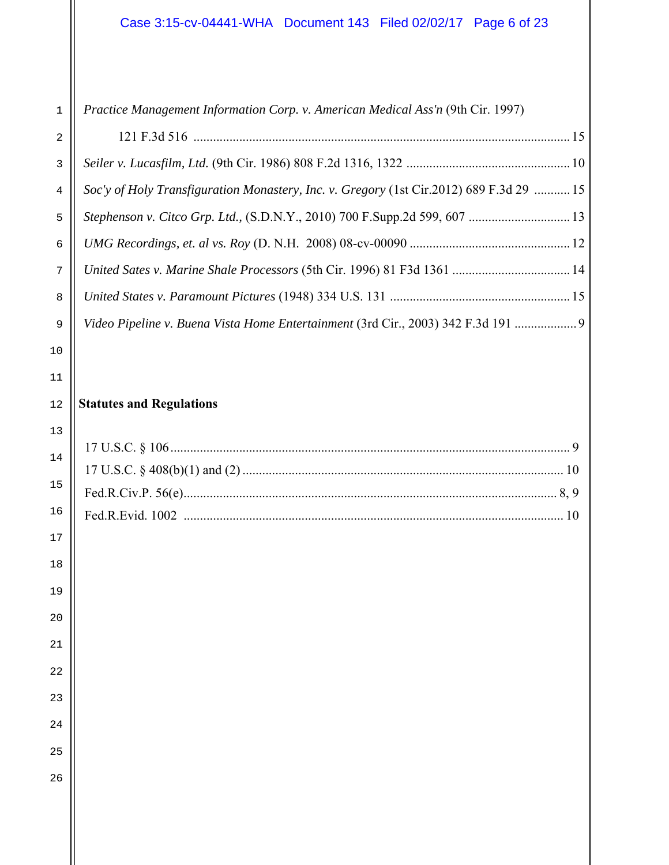| Practice Management Information Corp. v. American Medical Ass'n (9th Cir. 1997) |
|---------------------------------------------------------------------------------|
|---------------------------------------------------------------------------------|

| $\overline{2}$ |                                                                                         |
|----------------|-----------------------------------------------------------------------------------------|
| 3              |                                                                                         |
| $\overline{4}$ | Soc'y of Holy Transfiguration Monastery, Inc. v. Gregory (1st Cir.2012) 689 F.3d 29  15 |
| 5              | Stephenson v. Citco Grp. Ltd., (S.D.N.Y., 2010) 700 F.Supp.2d 599, 607  13              |
| $6\phantom{a}$ |                                                                                         |
| 7              |                                                                                         |
| 8              |                                                                                         |
| 9              | Video Pipeline v. Buena Vista Home Entertainment (3rd Cir., 2003) 342 F.3d 191  9       |

#### **Statutes and Regulations**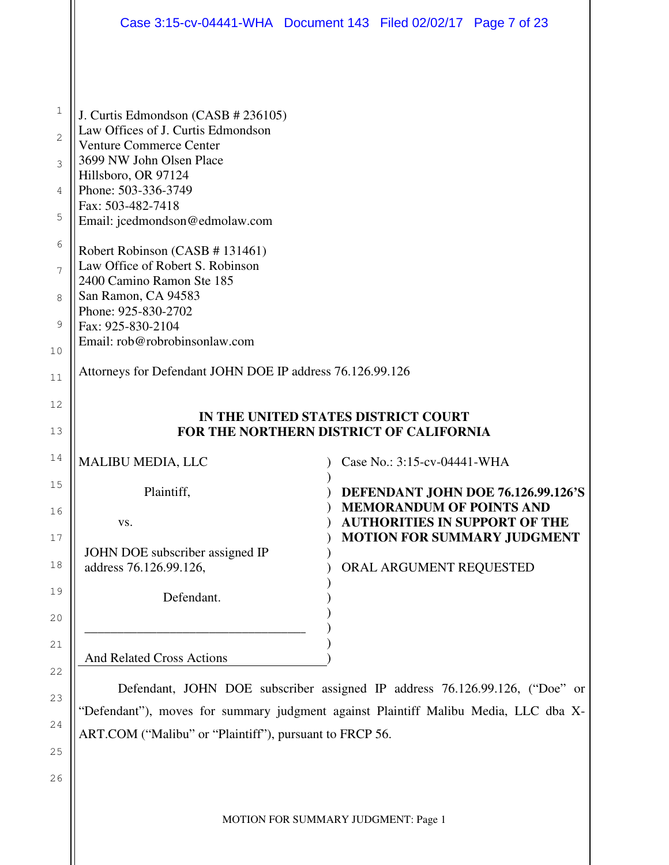| Case 3:15-cv-04441-WHA  Document 143  Filed 02/02/17  Page 7 of 23                                                                                                 |                                 |                                                                            |
|--------------------------------------------------------------------------------------------------------------------------------------------------------------------|---------------------------------|----------------------------------------------------------------------------|
|                                                                                                                                                                    |                                 |                                                                            |
|                                                                                                                                                                    |                                 |                                                                            |
| J. Curtis Edmondson (CASB # 236105)<br>Law Offices of J. Curtis Edmondson                                                                                          |                                 |                                                                            |
| <b>Venture Commerce Center</b>                                                                                                                                     |                                 |                                                                            |
| 3699 NW John Olsen Place<br>Hillsboro, OR 97124                                                                                                                    |                                 |                                                                            |
| Phone: 503-336-3749                                                                                                                                                |                                 |                                                                            |
| Fax: 503-482-7418<br>Email: jcedmondson@edmolaw.com                                                                                                                |                                 |                                                                            |
|                                                                                                                                                                    |                                 |                                                                            |
| Robert Robinson (CASB # 131461)<br>Law Office of Robert S. Robinson                                                                                                |                                 |                                                                            |
| 2400 Camino Ramon Ste 185<br>San Ramon, CA 94583                                                                                                                   |                                 |                                                                            |
| Phone: 925-830-2702                                                                                                                                                |                                 |                                                                            |
| Fax: 925-830-2104<br>Email: rob@robrobinsonlaw.com                                                                                                                 |                                 |                                                                            |
|                                                                                                                                                                    |                                 |                                                                            |
| Attorneys for Defendant JOHN DOE IP address 76.126.99.126                                                                                                          |                                 |                                                                            |
|                                                                                                                                                                    |                                 |                                                                            |
| IN THE UNITED STATES DISTRICT COURT<br>FOR THE NORTHERN DISTRICT OF CALIFORNIA                                                                                     |                                 |                                                                            |
| <b>MALIBU MEDIA, LLC</b>                                                                                                                                           | Case No.: 3:15-cv-04441-WHA     |                                                                            |
| Plaintiff,                                                                                                                                                         |                                 | DEFENDANT JOHN DOE 76.126.99.126'S                                         |
|                                                                                                                                                                    | <b>MEMORANDUM OF POINTS AND</b> |                                                                            |
|                                                                                                                                                                    |                                 |                                                                            |
| VS.                                                                                                                                                                |                                 | <b>AUTHORITIES IN SUPPORT OF THE</b><br><b>MOTION FOR SUMMARY JUDGMENT</b> |
| JOHN DOE subscriber assigned IP                                                                                                                                    |                                 |                                                                            |
| address 76.126.99.126,                                                                                                                                             | ORAL ARGUMENT REQUESTED         |                                                                            |
| Defendant.                                                                                                                                                         |                                 |                                                                            |
|                                                                                                                                                                    |                                 |                                                                            |
|                                                                                                                                                                    |                                 |                                                                            |
| <b>And Related Cross Actions</b>                                                                                                                                   |                                 |                                                                            |
| Defendant, JOHN DOE subscriber assigned IP address 76.126.99.126, ("Doe" or<br>"Defendant"), moves for summary judgment against Plaintiff Malibu Media, LLC dba X- |                                 |                                                                            |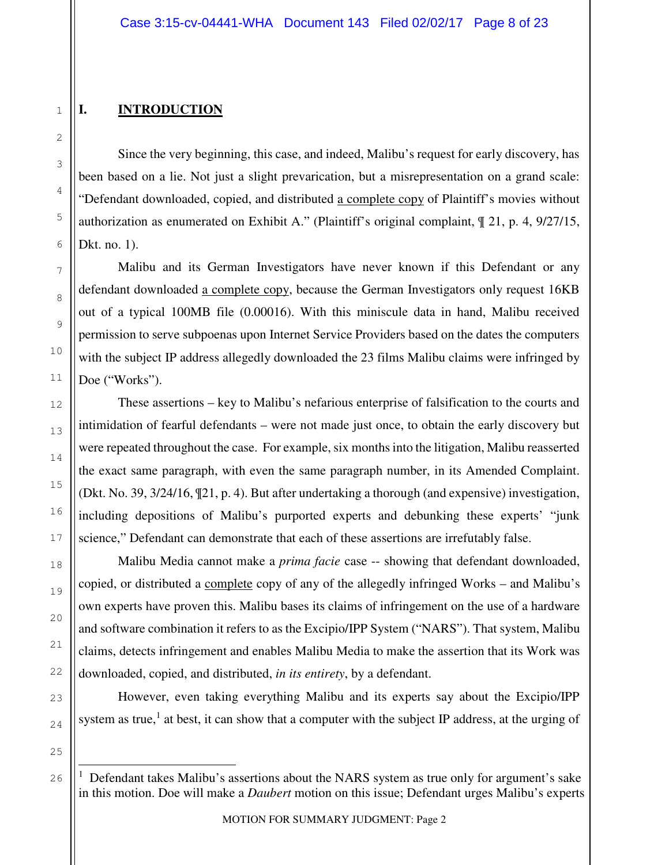### **I. INTRODUCTION**

Since the very beginning, this case, and indeed, Malibu's request for early discovery, has been based on a lie. Not just a slight prevarication, but a misrepresentation on a grand scale: "Defendant downloaded, copied, and distributed a complete copy of Plaintiff's movies without authorization as enumerated on Exhibit A." (Plaintiff's original complaint, ¶ 21, p. 4, 9/27/15, Dkt. no. 1).

Malibu and its German Investigators have never known if this Defendant or any defendant downloaded a complete copy, because the German Investigators only request 16KB out of a typical 100MB file (0.00016). With this miniscule data in hand, Malibu received permission to serve subpoenas upon Internet Service Providers based on the dates the computers with the subject IP address allegedly downloaded the 23 films Malibu claims were infringed by Doe ("Works").

These assertions – key to Malibu's nefarious enterprise of falsification to the courts and intimidation of fearful defendants – were not made just once, to obtain the early discovery but were repeated throughout the case. For example, six months into the litigation, Malibu reasserted the exact same paragraph, with even the same paragraph number, in its Amended Complaint. (Dkt. No. 39, 3/24/16, ¶21, p. 4). But after undertaking a thorough (and expensive) investigation, including depositions of Malibu's purported experts and debunking these experts' "junk science," Defendant can demonstrate that each of these assertions are irrefutably false.

Malibu Media cannot make a *prima facie* case -- showing that defendant downloaded, copied, or distributed a complete copy of any of the allegedly infringed Works – and Malibu's own experts have proven this. Malibu bases its claims of infringement on the use of a hardware and software combination it refers to as the Excipio/IPP System ("NARS"). That system, Malibu claims, detects infringement and enables Malibu Media to make the assertion that its Work was downloaded, copied, and distributed, *in its entirety*, by a defendant.

However, even taking everything Malibu and its experts say about the Excipio/IPP system as true,<sup>1</sup> at best, it can show that a computer with the subject IP address, at the urging of

 $\overline{\phantom{0}}$ 

<sup>1</sup> Defendant takes Malibu's assertions about the NARS system as true only for argument's sake in this motion. Doe will make a *Daubert* motion on this issue; Defendant urges Malibu's experts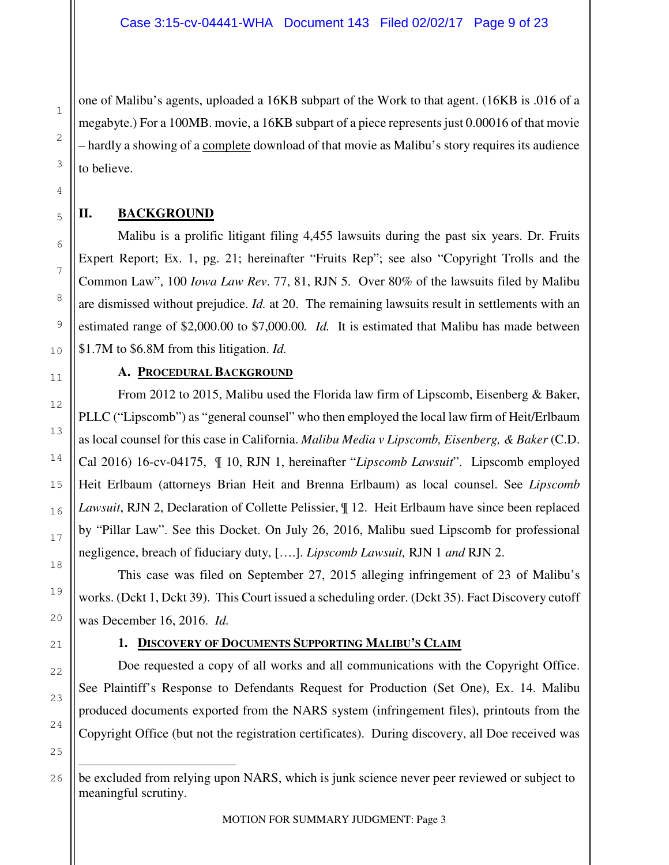one of Malibu's agents, uploaded a 16KB subpart of the Work to that agent. (16KB is .016 of a megabyte.) For a 100MB. movie, a 16KB subpart of a piece represents just 0.00016 of that movie – hardly a showing of a complete download of that movie as Malibu's story requires its audience to believe.

### **II. BACKGROUND**

Malibu is a prolific litigant filing 4,455 lawsuits during the past six years. Dr. Fruits Expert Report; Ex. 1, pg. 21; hereinafter "Fruits Rep"; see also "Copyright Trolls and the Common Law", 100 *Iowa Law Rev*. 77, 81, RJN 5. Over 80% of the lawsuits filed by Malibu are dismissed without prejudice. *Id.* at 20. The remaining lawsuits result in settlements with an estimated range of \$2,000.00 to \$7,000.00*. Id.* It is estimated that Malibu has made between \$1.7M to \$6.8M from this litigation. *Id.*

### **A. PROCEDURAL BACKGROUND**

From 2012 to 2015, Malibu used the Florida law firm of Lipscomb, Eisenberg & Baker, PLLC ("Lipscomb") as "general counsel" who then employed the local law firm of Heit/Erlbaum as local counsel for this case in California. *Malibu Media v Lipscomb, Eisenberg, & Baker* (C.D. Cal 2016) 16-cv-04175, ¶ 10, RJN 1, hereinafter "*Lipscomb Lawsuit*". Lipscomb employed Heit Erlbaum (attorneys Brian Heit and Brenna Erlbaum) as local counsel. See *Lipscomb Lawsuit*, RJN 2, Declaration of Collette Pelissier, ¶ 12. Heit Erlbaum have since been replaced by "Pillar Law". See this Docket. On July 26, 2016, Malibu sued Lipscomb for professional negligence, breach of fiduciary duty, [….]. *Lipscomb Lawsuit,* RJN 1 *and* RJN 2.

This case was filed on September 27, 2015 alleging infringement of 23 of Malibu's works. (Dckt 1, Dckt 39). This Court issued a scheduling order. (Dckt 35). Fact Discovery cutoff was December 16, 2016. *Id.*

### **1. DISCOVERY OF DOCUMENTS SUPPORTING MALIBU'S CLAIM**

Doe requested a copy of all works and all communications with the Copyright Office. See Plaintiff's Response to Defendants Request for Production (Set One), Ex. 14. Malibu produced documents exported from the NARS system (infringement files), printouts from the Copyright Office (but not the registration certificates). During discovery, all Doe received was

 $\overline{\phantom{0}}$ 

be excluded from relying upon NARS, which is junk science never peer reviewed or subject to meaningful scrutiny.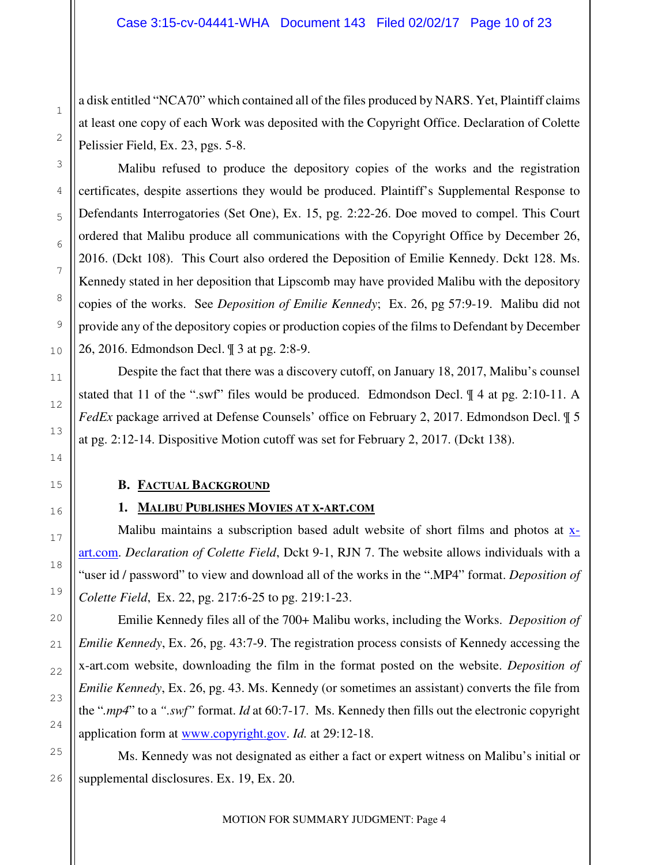a disk entitled "NCA70" which contained all of the files produced by NARS. Yet, Plaintiff claims at least one copy of each Work was deposited with the Copyright Office. Declaration of Colette Pelissier Field, Ex. 23, pgs. 5-8.

Malibu refused to produce the depository copies of the works and the registration certificates, despite assertions they would be produced. Plaintiff's Supplemental Response to Defendants Interrogatories (Set One), Ex. 15, pg. 2:22-26. Doe moved to compel. This Court ordered that Malibu produce all communications with the Copyright Office by December 26, 2016. (Dckt 108). This Court also ordered the Deposition of Emilie Kennedy. Dckt 128. Ms. Kennedy stated in her deposition that Lipscomb may have provided Malibu with the depository copies of the works. See *Deposition of Emilie Kennedy*; Ex. 26, pg 57:9-19. Malibu did not provide any of the depository copies or production copies of the films to Defendant by December 26, 2016. Edmondson Decl. ¶ 3 at pg. 2:8-9.

Despite the fact that there was a discovery cutoff, on January 18, 2017, Malibu's counsel stated that 11 of the ".swf" files would be produced. Edmondson Decl. ¶ 4 at pg. 2:10-11. A *FedEx* package arrived at Defense Counsels' office on February 2, 2017. Edmondson Decl. ¶ 5 at pg. 2:12-14. Dispositive Motion cutoff was set for February 2, 2017. (Dckt 138).

#### **B. FACTUAL BACKGROUND**

### **1. MALIBU PUBLISHES MOVIES AT X-ART.COM**

Malibu maintains a subscription based adult website of short films and photos at  $x$ art.com. *Declaration of Colette Field*, Dckt 9-1, RJN 7. The website allows individuals with a "user id / password" to view and download all of the works in the ".MP4" format. *Deposition of Colette Field*, Ex. 22, pg. 217:6-25 to pg. 219:1-23.

 Emilie Kennedy files all of the 700+ Malibu works, including the Works. *Deposition of Emilie Kennedy*, Ex. 26, pg. 43:7-9. The registration process consists of Kennedy accessing the x-art.com website, downloading the film in the format posted on the website. *Deposition of Emilie Kennedy*, Ex. 26, pg. 43. Ms. Kennedy (or sometimes an assistant) converts the file from the "*.mp4*" to a *".swf"* format. *Id* at 60:7-17. Ms. Kennedy then fills out the electronic copyright application form at www.copyright.gov. *Id.* at 29:12-18.

 Ms. Kennedy was not designated as either a fact or expert witness on Malibu's initial or supplemental disclosures. Ex. 19, Ex. 20.

MOTION FOR SUMMARY JUDGMENT: Page 4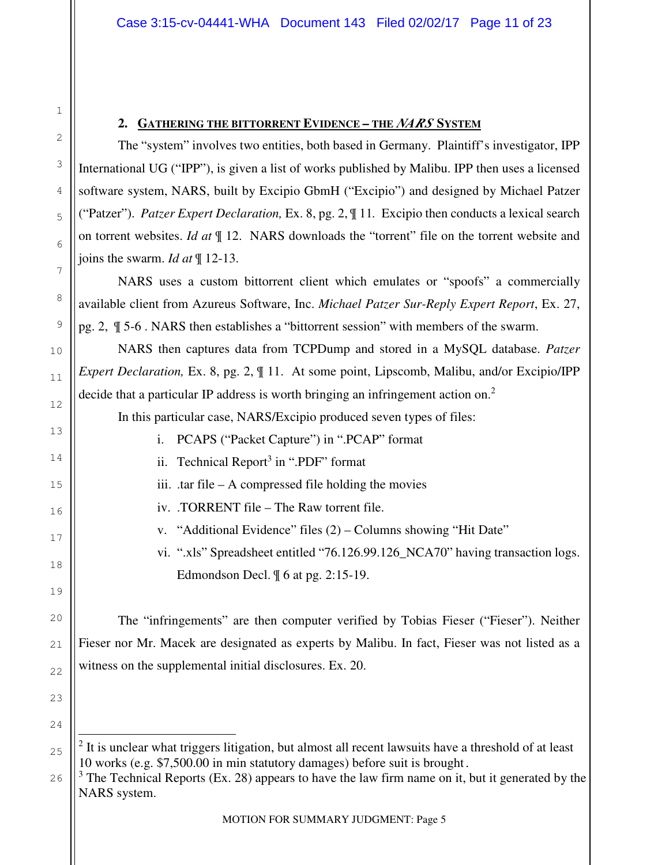#### **2. GATHERING THE BITTORRENT EVIDENCE – THE** *NARS* **SYSTEM**

1

2

3

4

5

6

7

8

9

10

11

12

13

14

15

16

17

18

19

20

21

22

23

24

 $\overline{ }$ 

 The "system" involves two entities, both based in Germany. Plaintiff's investigator, IPP International UG ("IPP"), is given a list of works published by Malibu. IPP then uses a licensed software system, NARS, built by Excipio GbmH ("Excipio") and designed by Michael Patzer ("Patzer"). *Patzer Expert Declaration,* Ex. 8, pg. 2, ¶ 11*.* Excipio then conducts a lexical search on torrent websites. *Id at* ¶ 12. NARS downloads the "torrent" file on the torrent website and joins the swarm. *Id at* ¶ 12-13.

NARS uses a custom bittorrent client which emulates or "spoofs" a commercially available client from Azureus Software, Inc. *Michael Patzer Sur-Reply Expert Report*, Ex. 27, pg. 2, ¶ 5-6 . NARS then establishes a "bittorrent session" with members of the swarm.

 NARS then captures data from TCPDump and stored in a MySQL database. *Patzer Expert Declaration, Ex. 8, pg. 2,*  $\parallel$  11. At some point, Lipscomb, Malibu, and/or Excipio/IPP decide that a particular IP address is worth bringing an infringement action on.<sup>2</sup>

In this particular case, NARS/Excipio produced seven types of files:

- i. PCAPS ("Packet Capture") in ".PCAP" format
- ii. Technical Report<sup>3</sup> in ".PDF" format
- iii. .tar file A compressed file holding the movies
- iv. .TORRENT file The Raw torrent file.
	- v. "Additional Evidence" files (2) Columns showing "Hit Date"

vi. ".xls" Spreadsheet entitled "76.126.99.126\_NCA70" having transaction logs. Edmondson Decl. ¶ 6 at pg. 2:15-19.

 The "infringements" are then computer verified by Tobias Fieser ("Fieser"). Neither Fieser nor Mr. Macek are designated as experts by Malibu. In fact, Fieser was not listed as a witness on the supplemental initial disclosures. Ex. 20.

26  $3$  The Technical Reports (Ex. 28) appears to have the law firm name on it, but it generated by the NARS system.

<sup>25</sup> <sup>2</sup> It is unclear what triggers litigation, but almost all recent lawsuits have a threshold of at least 10 works (e.g. \$7,500.00 in min statutory damages) before suit is brought.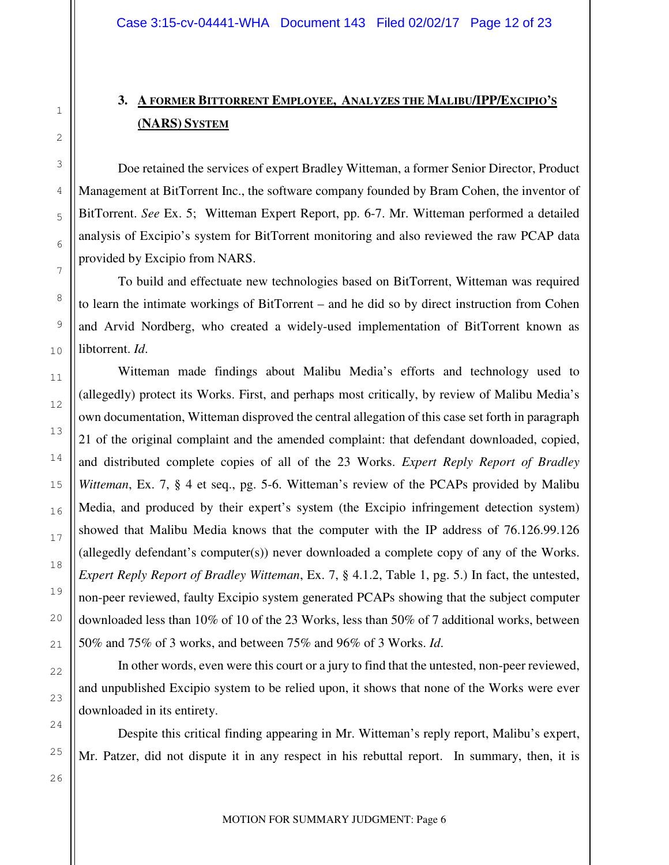### **3. A FORMER BITTORRENT EMPLOYEE, ANALYZES THE MALIBU/IPP/EXCIPIO'S (NARS) SYSTEM**

Doe retained the services of expert Bradley Witteman, a former Senior Director, Product Management at BitTorrent Inc., the software company founded by Bram Cohen, the inventor of BitTorrent. *See* Ex. 5; Witteman Expert Report, pp. 6-7. Mr. Witteman performed a detailed analysis of Excipio's system for BitTorrent monitoring and also reviewed the raw PCAP data provided by Excipio from NARS.

To build and effectuate new technologies based on BitTorrent, Witteman was required to learn the intimate workings of BitTorrent – and he did so by direct instruction from Cohen and Arvid Nordberg, who created a widely-used implementation of BitTorrent known as libtorrent. *Id*.

Witteman made findings about Malibu Media's efforts and technology used to (allegedly) protect its Works. First, and perhaps most critically, by review of Malibu Media's own documentation, Witteman disproved the central allegation of this case set forth in paragraph 21 of the original complaint and the amended complaint: that defendant downloaded, copied, and distributed complete copies of all of the 23 Works. *Expert Reply Report of Bradley Witteman*, Ex. 7, § 4 et seq., pg. 5-6. Witteman's review of the PCAPs provided by Malibu Media, and produced by their expert's system (the Excipio infringement detection system) showed that Malibu Media knows that the computer with the IP address of 76.126.99.126 (allegedly defendant's computer(s)) never downloaded a complete copy of any of the Works. *Expert Reply Report of Bradley Witteman*, Ex. 7, § 4.1.2, Table 1, pg. 5.) In fact, the untested, non-peer reviewed, faulty Excipio system generated PCAPs showing that the subject computer downloaded less than 10% of 10 of the 23 Works, less than 50% of 7 additional works, between 50% and 75% of 3 works, and between 75% and 96% of 3 Works. *Id*.

In other words, even were this court or a jury to find that the untested, non-peer reviewed, and unpublished Excipio system to be relied upon, it shows that none of the Works were ever downloaded in its entirety.

Despite this critical finding appearing in Mr. Witteman's reply report, Malibu's expert, Mr. Patzer, did not dispute it in any respect in his rebuttal report. In summary, then, it is

MOTION FOR SUMMARY JUDGMENT: Page 6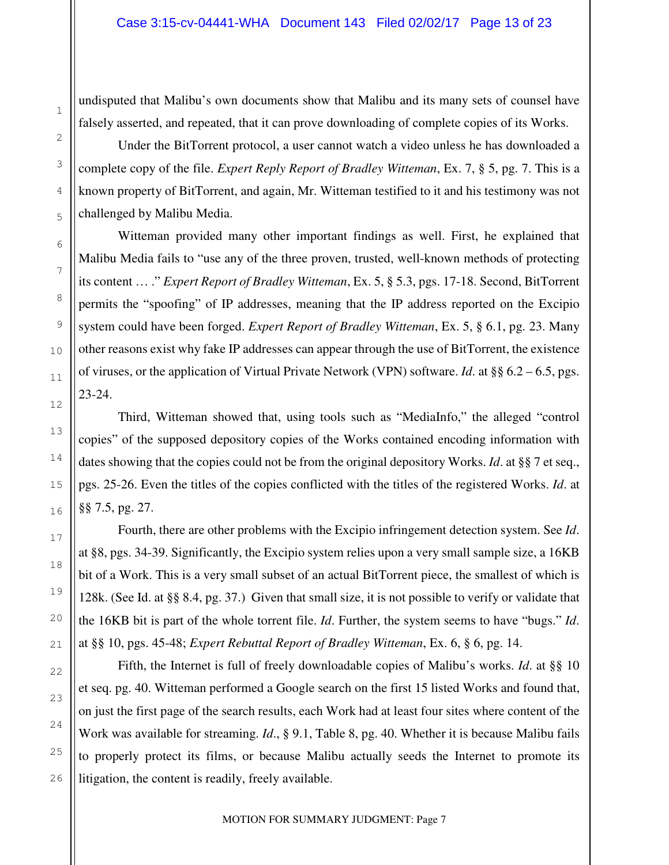undisputed that Malibu's own documents show that Malibu and its many sets of counsel have falsely asserted, and repeated, that it can prove downloading of complete copies of its Works.

Under the BitTorrent protocol, a user cannot watch a video unless he has downloaded a complete copy of the file. *Expert Reply Report of Bradley Witteman*, Ex. 7, § 5, pg. 7. This is a known property of BitTorrent, and again, Mr. Witteman testified to it and his testimony was not challenged by Malibu Media.

Witteman provided many other important findings as well. First, he explained that Malibu Media fails to "use any of the three proven, trusted, well-known methods of protecting its content … ." *Expert Report of Bradley Witteman*, Ex. 5, § 5.3, pgs. 17-18. Second, BitTorrent permits the "spoofing" of IP addresses, meaning that the IP address reported on the Excipio system could have been forged. *Expert Report of Bradley Witteman*, Ex. 5, § 6.1, pg. 23. Many other reasons exist why fake IP addresses can appear through the use of BitTorrent, the existence of viruses, or the application of Virtual Private Network (VPN) software. *Id*. at §§ 6.2 – 6.5, pgs. 23-24.

Third, Witteman showed that, using tools such as "MediaInfo," the alleged "control copies" of the supposed depository copies of the Works contained encoding information with dates showing that the copies could not be from the original depository Works. *Id*. at §§ 7 et seq., pgs. 25-26. Even the titles of the copies conflicted with the titles of the registered Works. *Id*. at §§ 7.5, pg. 27.

Fourth, there are other problems with the Excipio infringement detection system. See *Id*. at §8, pgs. 34-39. Significantly, the Excipio system relies upon a very small sample size, a 16KB bit of a Work. This is a very small subset of an actual BitTorrent piece, the smallest of which is 128k. (See Id. at §§ 8.4, pg. 37.) Given that small size, it is not possible to verify or validate that the 16KB bit is part of the whole torrent file. *Id*. Further, the system seems to have "bugs." *Id*. at §§ 10, pgs. 45-48; *Expert Rebuttal Report of Bradley Witteman*, Ex. 6, § 6, pg. 14.

Fifth, the Internet is full of freely downloadable copies of Malibu's works. *Id*. at §§ 10 et seq. pg. 40. Witteman performed a Google search on the first 15 listed Works and found that, on just the first page of the search results, each Work had at least four sites where content of the Work was available for streaming. *Id*., § 9.1, Table 8, pg. 40. Whether it is because Malibu fails to properly protect its films, or because Malibu actually seeds the Internet to promote its litigation, the content is readily, freely available.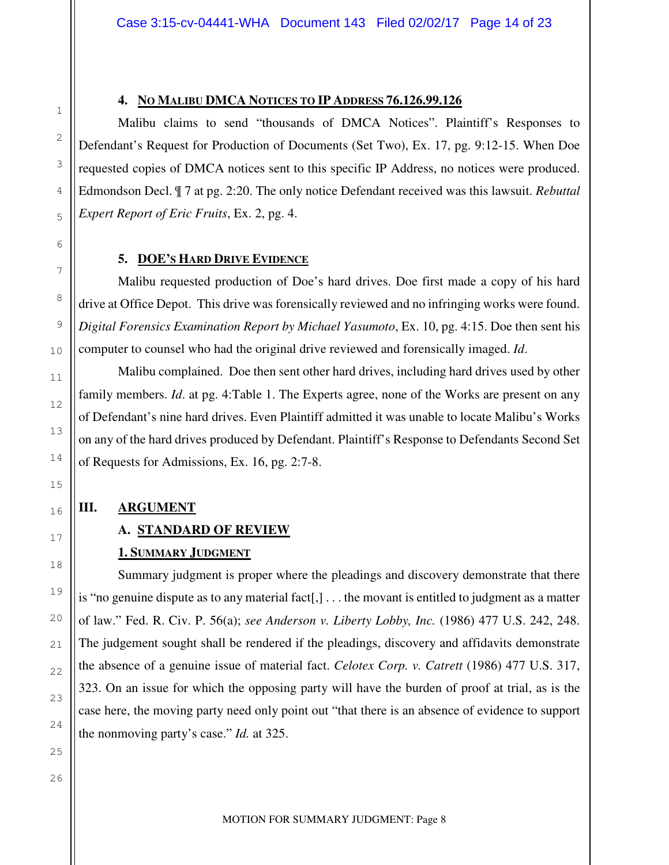#### **4. NO MALIBU DMCA NOTICES TO IP ADDRESS 76.126.99.126**

Malibu claims to send "thousands of DMCA Notices". Plaintiff's Responses to Defendant's Request for Production of Documents (Set Two), Ex. 17, pg. 9:12-15. When Doe requested copies of DMCA notices sent to this specific IP Address, no notices were produced. Edmondson Decl. ¶ 7 at pg. 2:20. The only notice Defendant received was this lawsuit. *Rebuttal Expert Report of Eric Fruits*, Ex. 2, pg. 4.

#### **5. DOE'S HARD DRIVE EVIDENCE**

 Malibu requested production of Doe's hard drives. Doe first made a copy of his hard drive at Office Depot. This drive was forensically reviewed and no infringing works were found. *Digital Forensics Examination Report by Michael Yasumoto*, Ex. 10, pg. 4:15. Doe then sent his computer to counsel who had the original drive reviewed and forensically imaged. *Id*.

 Malibu complained. Doe then sent other hard drives, including hard drives used by other family members. *Id*. at pg. 4:Table 1. The Experts agree, none of the Works are present on any of Defendant's nine hard drives. Even Plaintiff admitted it was unable to locate Malibu's Works on any of the hard drives produced by Defendant. Plaintiff's Response to Defendants Second Set of Requests for Admissions, Ex. 16, pg. 2:7-8.

#### **III. ARGUMENT**

#### **A. STANDARD OF REVIEW**

#### **1. SUMMARY JUDGMENT**

 Summary judgment is proper where the pleadings and discovery demonstrate that there is "no genuine dispute as to any material fact[,] . . . the movant is entitled to judgment as a matter of law." Fed. R. Civ. P. 56(a); *see Anderson v. Liberty Lobby, Inc.* (1986) 477 U.S. 242, 248. The judgement sought shall be rendered if the pleadings, discovery and affidavits demonstrate the absence of a genuine issue of material fact. *Celotex Corp. v. Catrett* (1986) 477 U.S. 317, 323. On an issue for which the opposing party will have the burden of proof at trial, as is the case here, the moving party need only point out "that there is an absence of evidence to support the nonmoving party's case." *Id.* at 325.

25 26

1

2

3

4

5

6

7

8

9

10

11

12

13

14

15

16

17

18

19

20

21

22

23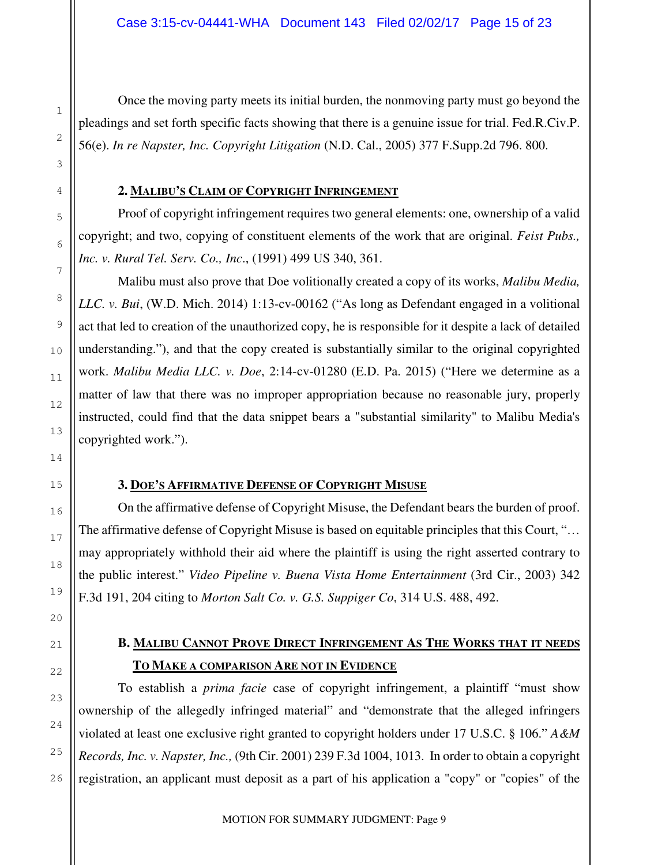Once the moving party meets its initial burden, the nonmoving party must go beyond the pleadings and set forth specific facts showing that there is a genuine issue for trial. Fed.R.Civ.P. 56(e). *In re Napster, Inc. Copyright Litigation* (N.D. Cal., 2005) 377 F.Supp.2d 796. 800.

#### **2. MALIBU'S CLAIM OF COPYRIGHT INFRINGEMENT**

 Proof of copyright infringement requires two general elements: one, ownership of a valid copyright; and two, copying of constituent elements of the work that are original. *Feist Pubs., Inc. v. Rural Tel. Serv. Co., Inc*., (1991) 499 US 340, 361.

 Malibu must also prove that Doe volitionally created a copy of its works, *Malibu Media, LLC. v. Bui*, (W.D. Mich. 2014) 1:13-cv-00162 ("As long as Defendant engaged in a volitional act that led to creation of the unauthorized copy, he is responsible for it despite a lack of detailed understanding."), and that the copy created is substantially similar to the original copyrighted work. *Malibu Media LLC. v. Doe*, 2:14-cv-01280 (E.D. Pa. 2015) ("Here we determine as a matter of law that there was no improper appropriation because no reasonable jury, properly instructed, could find that the data snippet bears a "substantial similarity" to Malibu Media's copyrighted work.").

#### **3. DOE'S AFFIRMATIVE DEFENSE OF COPYRIGHT MISUSE**

 On the affirmative defense of Copyright Misuse, the Defendant bears the burden of proof. The affirmative defense of Copyright Misuse is based on equitable principles that this Court, "… may appropriately withhold their aid where the plaintiff is using the right asserted contrary to the public interest." *Video Pipeline v. Buena Vista Home Entertainment* (3rd Cir., 2003) 342 F.3d 191, 204 citing to *Morton Salt Co. v. G.S. Suppiger Co*, 314 U.S. 488, 492.

### **B. MALIBU CANNOT PROVE DIRECT INFRINGEMENT AS THE WORKS THAT IT NEEDS TO MAKE A COMPARISON ARE NOT IN EVIDENCE**

To establish a *prima facie* case of copyright infringement, a plaintiff "must show ownership of the allegedly infringed material" and "demonstrate that the alleged infringers violated at least one exclusive right granted to copyright holders under 17 U.S.C. § 106." *A&M Records, Inc. v. Napster, Inc.,* (9th Cir. 2001) 239 F.3d 1004, 1013.In order to obtain a copyright registration, an applicant must deposit as a part of his application a "copy" or "copies" of the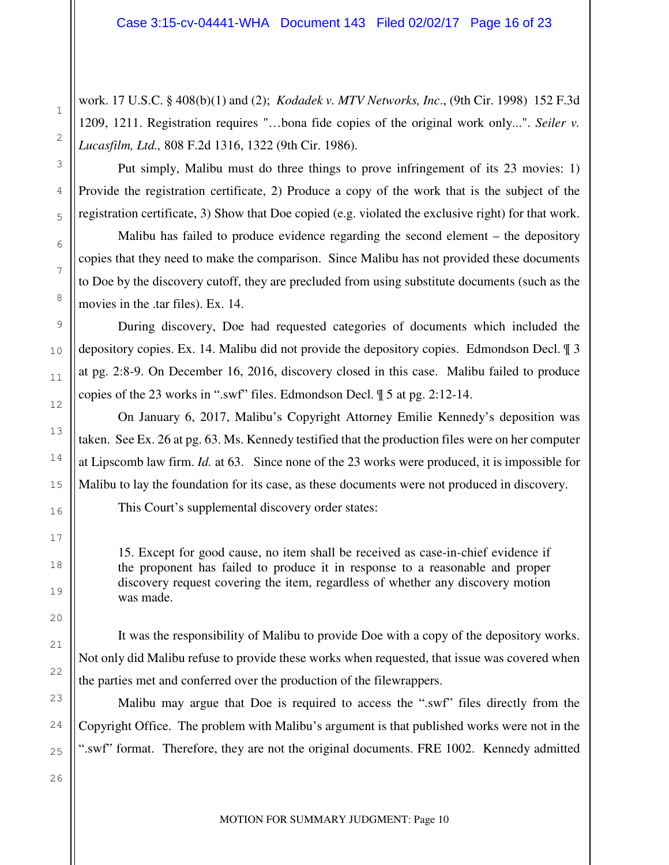work. 17 U.S.C. § 408(b)(1) and (2); *Kodadek v. MTV Networks, Inc*., (9th Cir. 1998) 152 F.3d 1209, 1211. Registration requires "…bona fide copies of the original work only...". *Seiler v. Lucasfilm, Ltd.,* 808 F.2d 1316, 1322 (9th Cir. 1986).

Put simply, Malibu must do three things to prove infringement of its 23 movies: 1) Provide the registration certificate, 2) Produce a copy of the work that is the subject of the registration certificate, 3) Show that Doe copied (e.g. violated the exclusive right) for that work.

Malibu has failed to produce evidence regarding the second element – the depository copies that they need to make the comparison. Since Malibu has not provided these documents to Doe by the discovery cutoff, they are precluded from using substitute documents (such as the movies in the .tar files). Ex. 14.

During discovery, Doe had requested categories of documents which included the depository copies. Ex. 14. Malibu did not provide the depository copies. Edmondson Decl. ¶ 3 at pg. 2:8-9. On December 16, 2016, discovery closed in this case. Malibu failed to produce copies of the 23 works in ".swf" files. Edmondson Decl. ¶ 5 at pg. 2:12-14.

On January 6, 2017, Malibu's Copyright Attorney Emilie Kennedy's deposition was taken. See Ex. 26 at pg. 63. Ms. Kennedy testified that the production files were on her computer at Lipscomb law firm. *Id.* at 63. Since none of the 23 works were produced, it is impossible for Malibu to lay the foundation for its case, as these documents were not produced in discovery. This Court's supplemental discovery order states:

15. Except for good cause, no item shall be received as case-in-chief evidence if the proponent has failed to produce it in response to a reasonable and proper discovery request covering the item, regardless of whether any discovery motion was made.

It was the responsibility of Malibu to provide Doe with a copy of the depository works. Not only did Malibu refuse to provide these works when requested, that issue was covered when the parties met and conferred over the production of the filewrappers.

Malibu may argue that Doe is required to access the ".swf" files directly from the Copyright Office. The problem with Malibu's argument is that published works were not in the ".swf" format. Therefore, they are not the original documents. FRE 1002. Kennedy admitted

1

2

3

4

5

6

7

8

9

10

11

12

13

14

15

16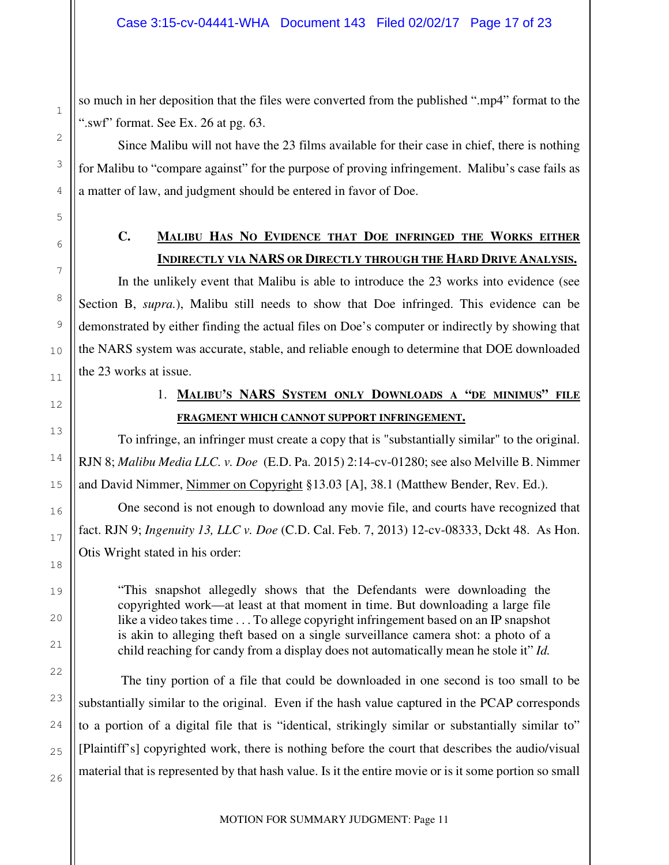so much in her deposition that the files were converted from the published ".mp4" format to the ".swf" format. See Ex. 26 at pg. 63.

Since Malibu will not have the 23 films available for their case in chief, there is nothing for Malibu to "compare against" for the purpose of proving infringement. Malibu's case fails as a matter of law, and judgment should be entered in favor of Doe.

1

2

3

4

5

6

7

8

9

10

11

13

14

15

16

17

18

19

20

21

22

23

24

25

26

### **C. MALIBU HAS NO EVIDENCE THAT DOE INFRINGED THE WORKS EITHER INDIRECTLY VIA NARS OR DIRECTLY THROUGH THE HARD DRIVE ANALYSIS.**

In the unlikely event that Malibu is able to introduce the 23 works into evidence (see Section B, *supra.*), Malibu still needs to show that Doe infringed. This evidence can be demonstrated by either finding the actual files on Doe's computer or indirectly by showing that the NARS system was accurate, stable, and reliable enough to determine that DOE downloaded the 23 works at issue.

12

### 1. **MALIBU'S NARS SYSTEM ONLY DOWNLOADS A "DE MINIMUS" FILE FRAGMENT WHICH CANNOT SUPPORT INFRINGEMENT.**

To infringe, an infringer must create a copy that is "substantially similar" to the original. RJN 8; *Malibu Media LLC. v. Doe* (E.D. Pa. 2015) 2:14-cv-01280; see also Melville B. Nimmer and David Nimmer, Nimmer on Copyright §13.03 [A], 38.1 (Matthew Bender, Rev. Ed.).

One second is not enough to download any movie file, and courts have recognized that fact. RJN 9; *Ingenuity 13, LLC v. Doe* (C.D. Cal. Feb. 7, 2013) 12-cv-08333, Dckt 48. As Hon. Otis Wright stated in his order:

"This snapshot allegedly shows that the Defendants were downloading the copyrighted work—at least at that moment in time. But downloading a large file like a video takes time . . . To allege copyright infringement based on an IP snapshot is akin to alleging theft based on a single surveillance camera shot: a photo of a child reaching for candy from a display does not automatically mean he stole it" *Id.* 

 The tiny portion of a file that could be downloaded in one second is too small to be substantially similar to the original. Even if the hash value captured in the PCAP corresponds to a portion of a digital file that is "identical, strikingly similar or substantially similar to" [Plaintiff's] copyrighted work, there is nothing before the court that describes the audio/visual material that is represented by that hash value. Is it the entire movie or is it some portion so small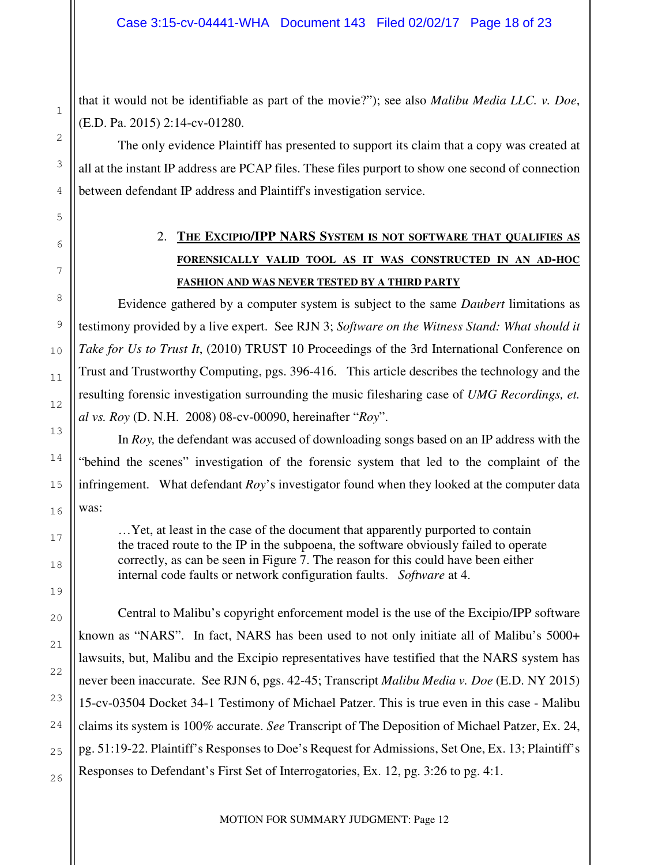that it would not be identifiable as part of the movie?"); see also *Malibu Media LLC. v. Doe*, (E.D. Pa. 2015) 2:14-cv-01280.

1

2

3

4

5

6

7

8

9

10

11

12

13

14

15

16

17

18

19

20

21

22

23

24

25

26

The only evidence Plaintiff has presented to support its claim that a copy was created at all at the instant IP address are PCAP files. These files purport to show one second of connection between defendant IP address and Plaintiff's investigation service.

# 2. **THE EXCIPIO/IPP NARS SYSTEM IS NOT SOFTWARE THAT QUALIFIES AS FORENSICALLY VALID TOOL AS IT WAS CONSTRUCTED IN AN AD-HOC FASHION AND WAS NEVER TESTED BY A THIRD PARTY**

Evidence gathered by a computer system is subject to the same *Daubert* limitations as testimony provided by a live expert. See RJN 3; *Software on the Witness Stand: What should it Take for Us to Trust It*, (2010) TRUST 10 Proceedings of the 3rd International Conference on Trust and Trustworthy Computing, pgs. 396-416. This article describes the technology and the resulting forensic investigation surrounding the music filesharing case of *UMG Recordings, et. al vs. Roy* (D. N.H. 2008) 08-cv-00090, hereinafter "*Roy*".

In *Roy,* the defendant was accused of downloading songs based on an IP address with the "behind the scenes" investigation of the forensic system that led to the complaint of the infringement. What defendant *Roy*'s investigator found when they looked at the computer data was:

…Yet, at least in the case of the document that apparently purported to contain the traced route to the IP in the subpoena, the software obviously failed to operate correctly, as can be seen in Figure 7. The reason for this could have been either internal code faults or network configuration faults. *Software* at 4.

Central to Malibu's copyright enforcement model is the use of the Excipio/IPP software known as "NARS". In fact, NARS has been used to not only initiate all of Malibu's 5000+ lawsuits, but, Malibu and the Excipio representatives have testified that the NARS system has never been inaccurate. See RJN 6, pgs. 42-45; Transcript *Malibu Media v. Doe* (E.D. NY 2015) 15-cv-03504 Docket 34-1 Testimony of Michael Patzer. This is true even in this case - Malibu claims its system is 100% accurate. *See* Transcript of The Deposition of Michael Patzer, Ex. 24, pg. 51:19-22. Plaintiff's Responses to Doe's Request for Admissions, Set One, Ex. 13; Plaintiff's Responses to Defendant's First Set of Interrogatories, Ex. 12, pg. 3:26 to pg. 4:1.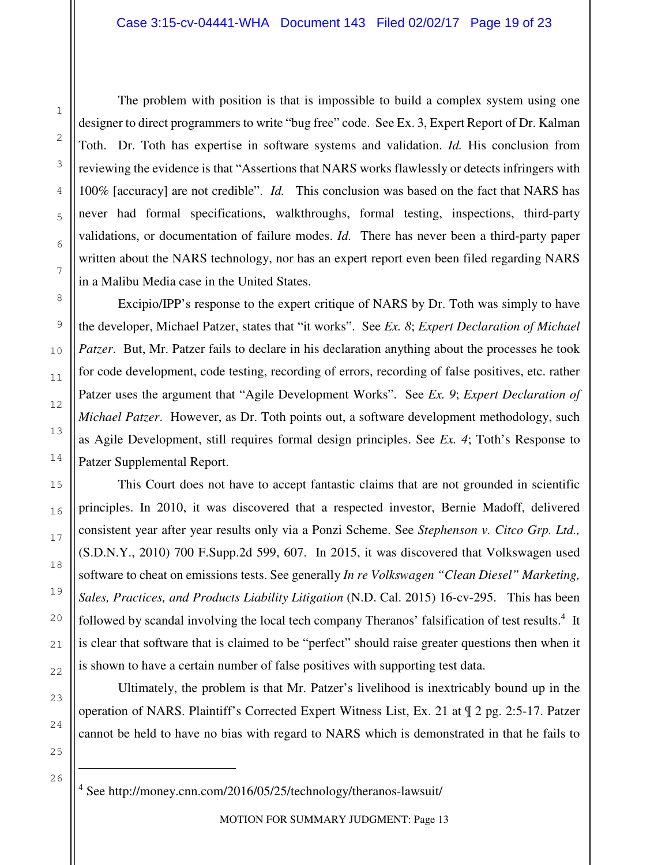The problem with position is that is impossible to build a complex system using one designer to direct programmers to write "bug free" code. See Ex. 3, Expert Report of Dr. Kalman Toth. Dr. Toth has expertise in software systems and validation. *Id.* His conclusion from reviewing the evidence is that "Assertions that NARS works flawlessly or detects infringers with 100% [accuracy] are not credible". *Id.* This conclusion was based on the fact that NARS has never had formal specifications, walkthroughs, formal testing, inspections, third-party validations, or documentation of failure modes. *Id.* There has never been a third-party paper written about the NARS technology, nor has an expert report even been filed regarding NARS in a Malibu Media case in the United States.

Excipio/IPP's response to the expert critique of NARS by Dr. Toth was simply to have the developer, Michael Patzer, states that "it works". See *Ex. 8*; *Expert Declaration of Michael Patzer*. But, Mr. Patzer fails to declare in his declaration anything about the processes he took for code development, code testing, recording of errors, recording of false positives, etc. rather Patzer uses the argument that "Agile Development Works". See *Ex. 9*; *Expert Declaration of Michael Patzer*. However, as Dr. Toth points out, a software development methodology, such as Agile Development, still requires formal design principles. See *Ex. 4*; Toth's Response to Patzer Supplemental Report.

This Court does not have to accept fantastic claims that are not grounded in scientific principles. In 2010, it was discovered that a respected investor, Bernie Madoff, delivered consistent year after year results only via a Ponzi Scheme. See *Stephenson v. Citco Grp. Ltd.,* (S.D.N.Y., 2010) 700 F.Supp.2d 599, 607. In 2015, it was discovered that Volkswagen used software to cheat on emissions tests. See generally *In re Volkswagen "Clean Diesel" Marketing, Sales, Practices, and Products Liability Litigation* (N.D. Cal. 2015) 16-cv-295. This has been followed by scandal involving the local tech company Theranos' falsification of test results.<sup>4</sup> It is clear that software that is claimed to be "perfect" should raise greater questions then when it is shown to have a certain number of false positives with supporting test data.

Ultimately, the problem is that Mr. Patzer's livelihood is inextricably bound up in the operation of NARS. Plaintiff's Corrected Expert Witness List, Ex. 21 at ¶ 2 pg. 2:5-17. Patzer cannot be held to have no bias with regard to NARS which is demonstrated in that he fails to

25

 $\overline{ }$ 

4 See http://money.cnn.com/2016/05/25/technology/theranos-lawsuit/

MOTION FOR SUMMARY JUDGMENT: Page 13

1

2

3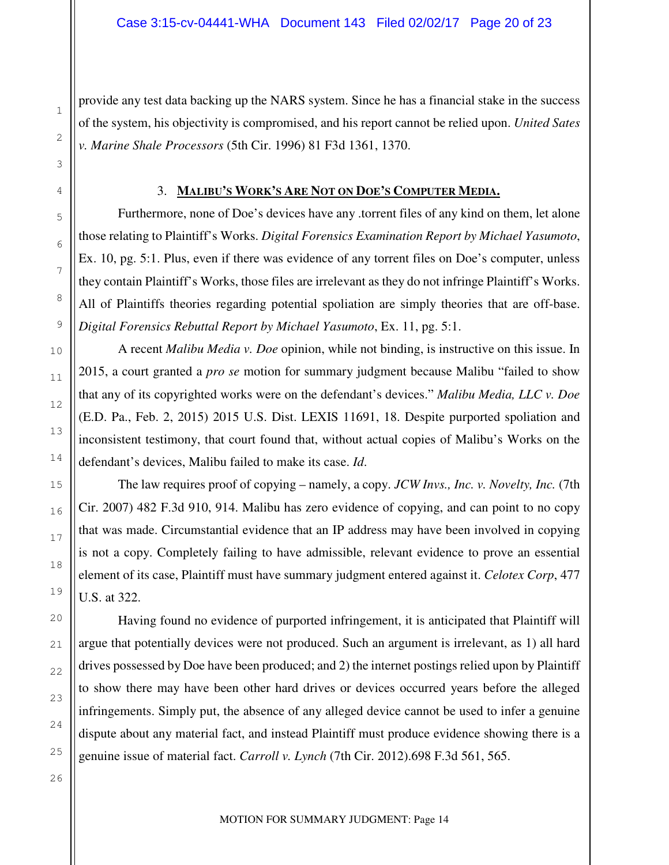provide any test data backing up the NARS system. Since he has a financial stake in the success of the system, his objectivity is compromised, and his report cannot be relied upon. *United Sates v. Marine Shale Processors* (5th Cir. 1996) 81 F3d 1361, 1370.

#### 3. **MALIBU'S WORK'S ARE NOT ON DOE'S COMPUTER MEDIA.**

Furthermore, none of Doe's devices have any .torrent files of any kind on them, let alone those relating to Plaintiff's Works. *Digital Forensics Examination Report by Michael Yasumoto*, Ex. 10, pg. 5:1. Plus, even if there was evidence of any torrent files on Doe's computer, unless they contain Plaintiff's Works, those files are irrelevant as they do not infringe Plaintiff's Works. All of Plaintiffs theories regarding potential spoliation are simply theories that are off-base. *Digital Forensics Rebuttal Report by Michael Yasumoto*, Ex. 11, pg. 5:1.

A recent *Malibu Media v. Doe* opinion, while not binding, is instructive on this issue. In 2015, a court granted a *pro se* motion for summary judgment because Malibu "failed to show that any of its copyrighted works were on the defendant's devices." *Malibu Media, LLC v. Doe* (E.D. Pa., Feb. 2, 2015) 2015 U.S. Dist. LEXIS 11691, 18. Despite purported spoliation and inconsistent testimony, that court found that, without actual copies of Malibu's Works on the defendant's devices, Malibu failed to make its case. *Id*.

The law requires proof of copying – namely, a copy. *JCW Invs., Inc. v. Novelty, Inc.* (7th Cir. 2007) 482 F.3d 910, 914. Malibu has zero evidence of copying, and can point to no copy that was made. Circumstantial evidence that an IP address may have been involved in copying is not a copy. Completely failing to have admissible, relevant evidence to prove an essential element of its case, Plaintiff must have summary judgment entered against it. *Celotex Corp*, 477 U.S. at 322.

 Having found no evidence of purported infringement, it is anticipated that Plaintiff will argue that potentially devices were not produced. Such an argument is irrelevant, as 1) all hard drives possessed by Doe have been produced; and 2) the internet postings relied upon by Plaintiff to show there may have been other hard drives or devices occurred years before the alleged infringements. Simply put, the absence of any alleged device cannot be used to infer a genuine dispute about any material fact, and instead Plaintiff must produce evidence showing there is a genuine issue of material fact. *Carroll v. Lynch* (7th Cir. 2012).698 F.3d 561, 565.

1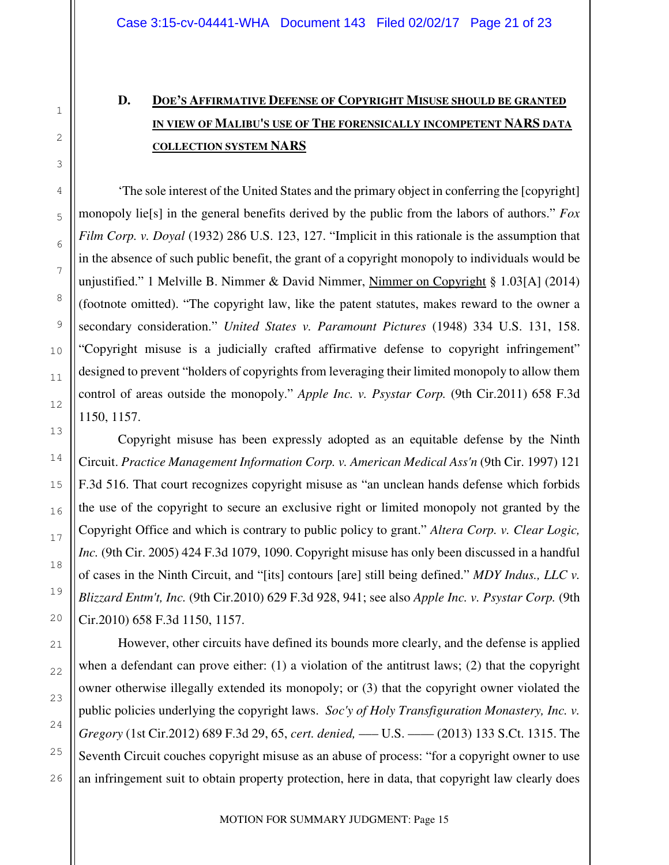# **D. DOE'S AFFIRMATIVE DEFENSE OF COPYRIGHT MISUSE SHOULD BE GRANTED IN VIEW OF MALIBU'S USE OF THE FORENSICALLY INCOMPETENT NARS DATA COLLECTION SYSTEM NARS**

'The sole interest of the United States and the primary object in conferring the [copyright] monopoly lie[s] in the general benefits derived by the public from the labors of authors." *Fox Film Corp. v. Doyal* (1932) 286 U.S. 123, 127. "Implicit in this rationale is the assumption that in the absence of such public benefit, the grant of a copyright monopoly to individuals would be unjustified." 1 Melville B. Nimmer & David Nimmer, Nimmer on Copyright § 1.03[A] (2014) (footnote omitted). "The copyright law, like the patent statutes, makes reward to the owner a secondary consideration." *United States v. Paramount Pictures* (1948) 334 U.S. 131, 158. "Copyright misuse is a judicially crafted affirmative defense to copyright infringement" designed to prevent "holders of copyrights from leveraging their limited monopoly to allow them control of areas outside the monopoly." *Apple Inc. v. Psystar Corp.* (9th Cir.2011) 658 F.3d 1150, 1157.

Copyright misuse has been expressly adopted as an equitable defense by the Ninth Circuit. *Practice Management Information Corp. v. American Medical Ass'n* (9th Cir. 1997) 121 F.3d 516. That court recognizes copyright misuse as "an unclean hands defense which forbids the use of the copyright to secure an exclusive right or limited monopoly not granted by the Copyright Office and which is contrary to public policy to grant." *Altera Corp. v. Clear Logic, Inc.* (9th Cir. 2005) 424 F.3d 1079, 1090. Copyright misuse has only been discussed in a handful of cases in the Ninth Circuit, and "[its] contours [are] still being defined." *MDY Indus., LLC v. Blizzard Entm't, Inc.* (9th Cir.2010) 629 F.3d 928, 941; see also *Apple Inc. v. Psystar Corp.* (9th Cir.2010) 658 F.3d 1150, 1157.

However, other circuits have defined its bounds more clearly, and the defense is applied when a defendant can prove either: (1) a violation of the antitrust laws; (2) that the copyright owner otherwise illegally extended its monopoly; or (3) that the copyright owner violated the public policies underlying the copyright laws. *Soc'y of Holy Transfiguration Monastery, Inc. v. Gregory* (1st Cir.2012) 689 F.3d 29, 65, *cert. denied,* ––– U.S. –––– (2013) 133 S.Ct. 1315. The Seventh Circuit couches copyright misuse as an abuse of process: "for a copyright owner to use an infringement suit to obtain property protection, here in data, that copyright law clearly does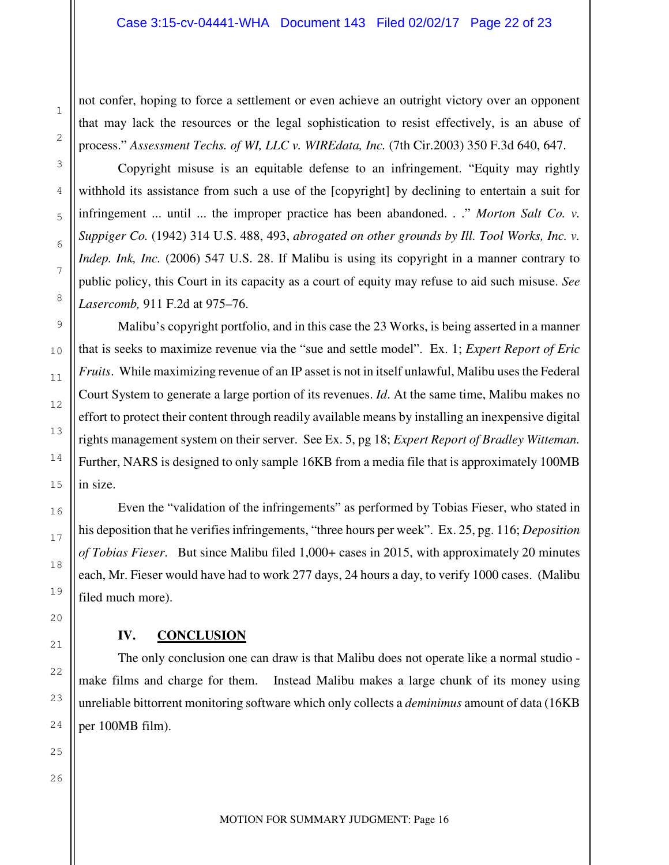not confer, hoping to force a settlement or even achieve an outright victory over an opponent that may lack the resources or the legal sophistication to resist effectively, is an abuse of process." *Assessment Techs. of WI, LLC v. WIREdata, Inc.* (7th Cir.2003) 350 F.3d 640, 647.

Copyright misuse is an equitable defense to an infringement. "Equity may rightly withhold its assistance from such a use of the [copyright] by declining to entertain a suit for infringement ... until ... the improper practice has been abandoned. . ." *Morton Salt Co. v. Suppiger Co.* (1942) 314 U.S. 488, 493, *abrogated on other grounds by Ill. Tool Works, Inc. v. Indep. Ink, Inc.* (2006) 547 U.S. 28. If Malibu is using its copyright in a manner contrary to public policy, this Court in its capacity as a court of equity may refuse to aid such misuse. *See Lasercomb,* 911 F.2d at 975–76.

Malibu's copyright portfolio, and in this case the 23 Works, is being asserted in a manner that is seeks to maximize revenue via the "sue and settle model". Ex. 1; *Expert Report of Eric Fruits*. While maximizing revenue of an IP asset is not in itself unlawful, Malibu uses the Federal Court System to generate a large portion of its revenues. *Id*. At the same time, Malibu makes no effort to protect their content through readily available means by installing an inexpensive digital rights management system on their server. See Ex. 5, pg 18; *Expert Report of Bradley Witteman.*  Further, NARS is designed to only sample 16KB from a media file that is approximately 100MB in size.

Even the "validation of the infringements" as performed by Tobias Fieser, who stated in his deposition that he verifies infringements, "three hours per week". Ex. 25, pg. 116; *Deposition of Tobias Fieser*. But since Malibu filed 1,000+ cases in 2015, with approximately 20 minutes each, Mr. Fieser would have had to work 277 days, 24 hours a day, to verify 1000 cases. (Malibu filed much more).

#### **IV. CONCLUSION**

The only conclusion one can draw is that Malibu does not operate like a normal studio make films and charge for them. Instead Malibu makes a large chunk of its money using unreliable bittorrent monitoring software which only collects a *deminimus* amount of data (16KB per 100MB film).

1

2

3

4

5

6